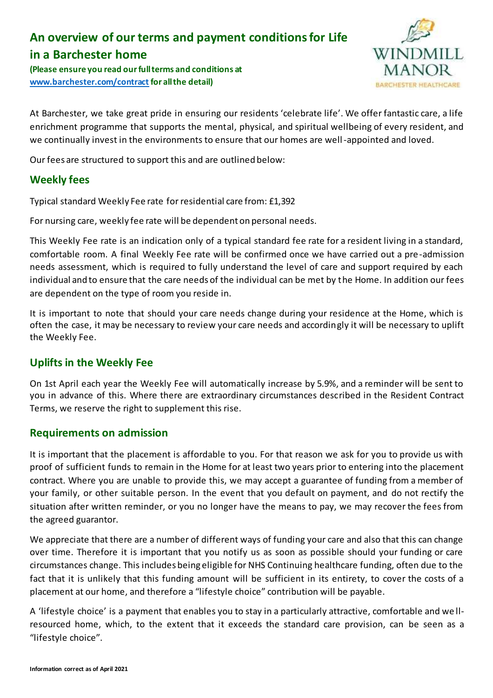# **An overview of our terms and payment conditions for Life in a Barchester home**

**(Please ensure you read our full terms and conditions at [www.barchester.com/contract](http://www.barchester.com/contract) for all the detail)**



At Barchester, we take great pride in ensuring our residents 'celebrate life'. We offer fantastic care, a life enrichment programme that supports the mental, physical, and spiritual wellbeing of every resident, and we continually invest in the environments to ensure that our homes are well-appointed and loved.

Our fees are structured to support this and are outlined below:

# **Weekly fees**

Typical standard Weekly Fee rate for residential care from: £1,392

For nursing care, weekly fee rate will be dependent on personal needs.

This Weekly Fee rate is an indication only of a typical standard fee rate for a resident living in a standard, comfortable room. A final Weekly Fee rate will be confirmed once we have carried out a pre-admission needs assessment, which is required to fully understand the level of care and support required by each individual and to ensure that the care needs of the individual can be met by the Home. In addition our fees are dependent on the type of room you reside in.

It is important to note that should your care needs change during your residence at the Home, which is often the case, it may be necessary to review your care needs and accordingly it will be necessary to uplift the Weekly Fee.

# **Uplifts in the Weekly Fee**

On 1st April each year the Weekly Fee will automatically increase by 5.9%, and a reminder will be sent to you in advance of this. Where there are extraordinary circumstances described in the Resident Contract Terms, we reserve the right to supplement this rise.

# **Requirements on admission**

It is important that the placement is affordable to you. For that reason we ask for you to provide us with proof of sufficient funds to remain in the Home for at least two years prior to entering into the placement contract. Where you are unable to provide this, we may accept a guarantee of funding from a member of your family, or other suitable person. In the event that you default on payment, and do not rectify the situation after written reminder, or you no longer have the means to pay, we may recover the fees from the agreed guarantor.

We appreciate that there are a number of different ways of funding your care and also that this can change over time. Therefore it is important that you notify us as soon as possible should your funding or care circumstances change. This includes being eligible for NHS Continuing healthcare funding, often due to the fact that it is unlikely that this funding amount will be sufficient in its entirety, to cover the costs of a placement at our home, and therefore a "lifestyle choice" contribution will be payable.

A 'lifestyle choice' is a payment that enables you to stay in a particularly attractive, comfortable and we llresourced home, which, to the extent that it exceeds the standard care provision, can be seen as a "lifestyle choice".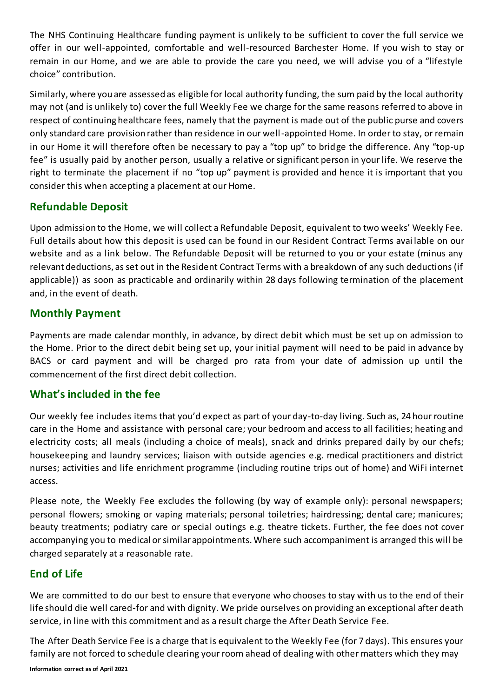The NHS Continuing Healthcare funding payment is unlikely to be sufficient to cover the full service we offer in our well-appointed, comfortable and well-resourced Barchester Home. If you wish to stay or remain in our Home, and we are able to provide the care you need, we will advise you of a "lifestyle choice" contribution.

Similarly, where you are assessed as eligible for local authority funding, the sum paid by the local authority may not (and is unlikely to) cover the full Weekly Fee we charge for the same reasons referred to above in respect of continuing healthcare fees, namely that the payment is made out of the public purse and covers only standard care provision rather than residence in our well-appointed Home. In order to stay, or remain in our Home it will therefore often be necessary to pay a "top up" to bridge the difference. Any "top-up fee" is usually paid by another person, usually a relative or significant person in your life. We reserve the right to terminate the placement if no "top up" payment is provided and hence it is important that you consider this when accepting a placement at our Home.

# **Refundable Deposit**

Upon admission to the Home, we will collect a Refundable Deposit, equivalent to two weeks' Weekly Fee. Full details about how this deposit is used can be found in our Resident Contract Terms avai lable on our website and as a link below. The Refundable Deposit will be returned to you or your estate (minus any relevant deductions, as set out in the Resident Contract Terms with a breakdown of any such deductions (if applicable)) as soon as practicable and ordinarily within 28 days following termination of the placement and, in the event of death.

# **Monthly Payment**

Payments are made calendar monthly, in advance, by direct debit which must be set up on admission to the Home. Prior to the direct debit being set up, your initial payment will need to be paid in advance by BACS or card payment and will be charged pro rata from your date of admission up until the commencement of the first direct debit collection.

# **What's included in the fee**

Our weekly fee includes items that you'd expect as part of your day-to-day living. Such as, 24 hour routine care in the Home and assistance with personal care; your bedroom and access to all facilities; heating and electricity costs; all meals (including a choice of meals), snack and drinks prepared daily by our chefs; housekeeping and laundry services; liaison with outside agencies e.g. medical practitioners and district nurses; activities and life enrichment programme (including routine trips out of home) and WiFi internet access.

Please note, the Weekly Fee excludes the following (by way of example only): personal newspapers; personal flowers; smoking or vaping materials; personal toiletries; hairdressing; dental care; manicures; beauty treatments; podiatry care or special outings e.g. theatre tickets. Further, the fee does not cover accompanying you to medical or similar appointments. Where such accompaniment is arranged this will be charged separately at a reasonable rate.

# **End of Life**

We are committed to do our best to ensure that everyone who chooses to stay with us to the end of their life should die well cared-for and with dignity. We pride ourselves on providing an exceptional after death service, in line with this commitment and as a result charge the After Death Service Fee.

The After Death Service Fee is a charge that is equivalent to the Weekly Fee (for 7 days). This ensures your family are not forced to schedule clearing your room ahead of dealing with other matters which they may